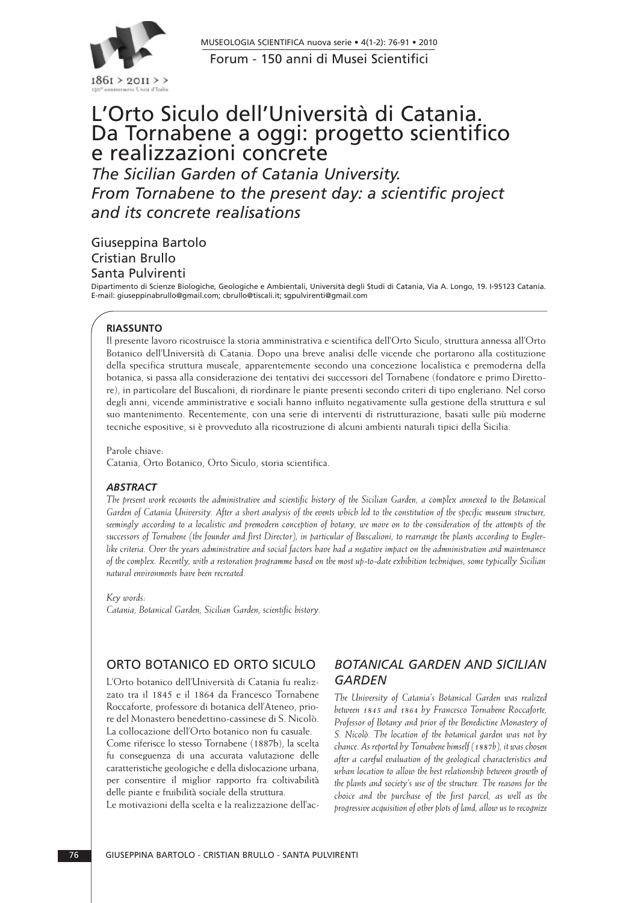

Forum - 150 anni di Musei Scientifici MUSEOLOGIA SCIENTIFICA nuova serie • 4(1-2): 76-91 • 2010

# L'Orto Siculo dell'Università di Catania. Da Tornabene a oggi: progetto scientifico e realizzazioni concrete

*The Sicilian Garden of Catania University. From Tornabene to the present day: a scientific project and its concrete realisations*

Giuseppina Bartolo Cristian Brullo Santa Pulvirenti

Dipartimento di Scienze Biologiche, Geologiche e Ambientali, Università degli Studi di Catania, Via A. Longo, 19. I-95123 Catania. E-mail: giuseppinabrullo@gmail.com; cbrullo@tiscali.it; sgpulvirenti@gmail.com

#### **RIASSUNTO**

Il presente lavoro ricostruisce la storia amministrativa e scientifica dell'Orto Siculo, struttura annessa all'Orto Botanico dell'Università di Catania. Dopo una breve analisi delle vicende che portarono alla costituzione della specifica struttura museale, apparentemente secondo una concezione localistica e premoderna della botanica, si passa alla considerazione dei tentativi dei successori del Tornabene (fondatore e primo Direttore), in particolare del Buscalioni, di riordinare le piante presenti secondo criteri di tipo engleriano. Nel corso degli anni, vicende amministrative e sociali hanno influito negativamente sulla gestione della struttura e sul suo mantenimento. Recentemente, con una serie di interventi di ristrutturazione, basati sulle più moderne tecniche espositive, si è provveduto alla ricostruzione di alcuni ambienti naturali tipici della Sicilia.

Parole chiave:

Catania, Orto Botanico, Orto Siculo, storia scientifica.

#### *ABSTRACT*

*The present work recounts the administrative and scientific history of the Sicilian Garden, a complex annexed to the Botanical Garden of Catania University. After a short analysis of the events which led to the constitution of the specific museum structure, seemingly according to a localistic and premodern conception of botany, we move on to the consideration of the attempts of the successors of Tornabene (the founder and fìrst Director), in particular of Buscalioni, to rearrange the plants according to Englerlike criteria. Over the years administrative and social factors have had a negative impact on the admninistration and maintenance of the complex. Recently, with a restoration programme based on the most up-to-date exhibition techniques, some typically Sicilian natural environments have been recreated.*

*Key words:* 

*Catania, Botanical Garden, Sicilian Garden, scientific history.*

# ORTO BOTANICO ED ORTO SICULO

L'Orto botanico dell'Università di Catania fu realizzato tra il 1845 e il 1864 da Francesco Tornabene Roccaforte, professore di botanica dell'Ateneo, priore del Monastero benedettino-cassinese di S. Nicolò. La collocazione dell'Orto botanico non fu casuale. Come riferisce lo stesso Tornabene (1887b), la scelta fu conseguenza di una accurata valutazione delle caratteristiche geologiche e della dislocazione urbana, per consentire il miglior rapporto fra coltivabilità delle piante e fruibilità sociale della struttura.

Le motivazioni della scelta e la realizzazione dell'ac-

# *BOTANICAL GARDEN AND SICILIAN GARDEN*

*The University of Catania's Botanical Garden was realized between 1845 and 1864 by Francesco Tornabene Roccaforte, Professor of Botany and prior of the Benedictine Monastery of S. Nicolò. The location of the botanical garden was not by chance. As reported by Tornabene himself (1887b), it was chosen after a careful evaluation of the geological characteristics and urban location to allow the best relationship between growth of the plants and society's use of the structure. The reasons for the choice and the purchase of the first parcel, as well as the progressive acquisition of other plots of land, allow us to recognize*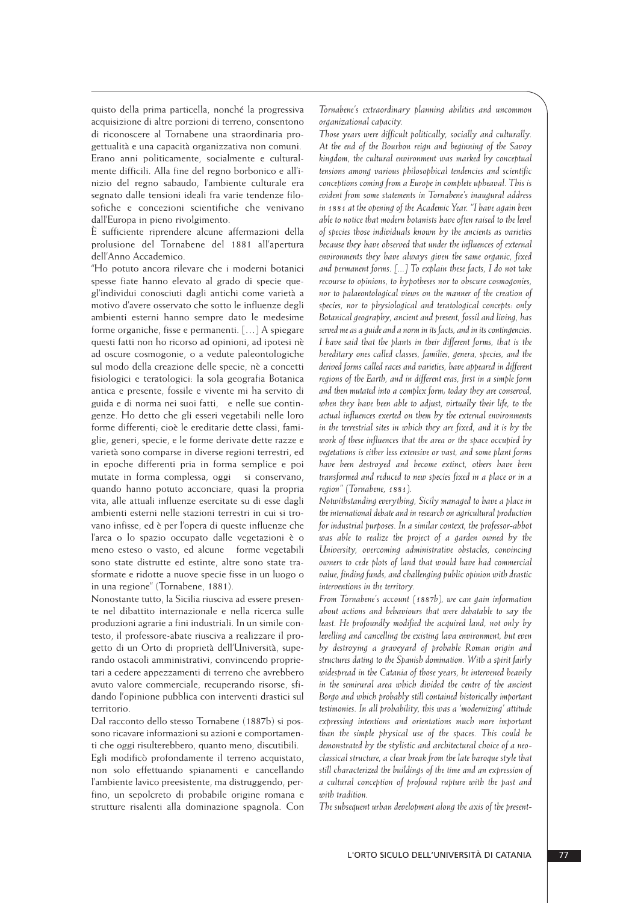quisto della prima particella, nonché la progressiva acquisizione di altre porzioni di terreno, consentono di riconoscere al Tornabene una straordinaria progettualità e una capacità organizzativa non comuni. Erano anni politicamente, socialmente e culturalmente difficili. Alla fine del regno borbonico e all'inizio del regno sabaudo, l'ambiente culturale era segnato dalle tensioni ideali fra varie tendenze filosofiche e concezioni scientifiche che venivano dall'Europa in pieno rivolgimento.

È sufficiente riprendere alcune affermazioni della prolusione del Tornabene del 1881 all'apertura dell'Anno Accademico.

"Ho potuto ancora rilevare che i moderni botanici spesse fiate hanno elevato al grado di specie quegl'individui conosciuti dagli antichi come varietà a motivo d'avere osservato che sotto le influenze degli ambienti esterni hanno sempre dato le medesime forme organiche, fisse e permanenti. […] A spiegare questi fatti non ho ricorso ad opinioni, ad ipotesi nè ad oscure cosmogonie, o a vedute paleontologiche sul modo della creazione delle specie, nè a concetti fisiologici e teratologici: la sola geografia Botanica antica e presente, fossile e vivente mi ha servito di guida e di norma nei suoi fatti, e nelle sue contingenze. Ho detto che gli esseri vegetabili nelle loro forme differenti; cioè le ereditarie dette classi, famiglie, generi, specie, e le forme derivate dette razze e varietà sono comparse in diverse regioni terrestri, ed in epoche differenti pria in forma semplice e poi mutate in forma complessa, oggi si conservano, quando hanno potuto acconciare, quasi la propria vita, alle attuali influenze esercitate su di esse dagli ambienti esterni nelle stazioni terrestri in cui si trovano infisse, ed è per l'opera di queste influenze che l'area o lo spazio occupato dalle vegetazioni è o meno esteso o vasto, ed alcune forme vegetabili sono state distrutte ed estinte, altre sono state trasformate e ridotte a nuove specie fisse in un luogo o in una regione" (Tornabene, 1881).

Nonostante tutto, la Sicilia riusciva ad essere presente nel dibattito internazionale e nella ricerca sulle produzioni agrarie a fini industriali. In un simile contesto, il professore-abate riusciva a realizzare il pro getto di un Orto di proprietà dell'Università, superando ostacoli amministrativi, convincendo proprietari a cedere appezzamenti di terreno che avrebbero avuto valore commerciale, recuperando risorse, sfidando l'opinione pubblica con interventi drastici sul territorio.

Dal racconto dello stesso Tornabene (1887b) si possono ricavare informazioni su azioni e comportamenti che oggi risulterebbero, quanto meno, discutibili.

Egli modificò profondamente il terreno acquistato, non solo effettuando spianamenti e cancellando l'ambiente lavico preesistente, ma distruggendo, perfino, un sepolcreto di probabile origine romana e strutture risalenti alla dominazione spagnola. Con *Tornabene's extraordinary planning abilities and uncommon organizational capacity.*

*Those years were difficult politically, socially and culturally. At the end of the Bourbon reign and beginning of the Savoy kingdom, the cultural environment was marked by conceptual tensions among various philosophical tendencies and scientific conceptions coming from a Europe in complete upheaval. This is evident from some statements in Tornabene's inaugural address in 1881 at the opening of the Academic Year. "I have again been able to notice that modern botanists have often raised to the level of species those individuals known by the ancients as varieties because they have observed that under the influences of external environments they have always given the same organic, fixed and permanent forms. [...] To explain these facts, I do not take recourse to opinions, to hypotheses nor to obscure cosmogonies, nor to palaeontological views on the manner of the creation of species, nor to physiological and teratological concepts: only Botanical geography, ancient and present, fossil and living, has served me as a guide and a norm in its facts, and in its contingencies. I have said that the plants in their different forms, that is the hereditary ones called classes, families, genera, species, and the derived forms called races and varieties, have appeared in different regions of the Earth, and in different eras, first in a simple form and then mutated into a complex form; today they are conserved, when they have been able to adjust, virtually their life, to the actual influences exerted on them by the external environments in the terrestrial sites in which they are fixed, and it is by the work of these influences that the area or the space occupied by vegetations is either less extensive or vast, and some plant forms have been destroyed and become extinct, others have been transformed and reduced to new species fixed in a place or in a region" (Tornabene, 1881).*

*Notwithstanding everything, Sicily managed to have a place in the international debate and in research on agricultural production for industrial purposes. In a similar context, the professor-abbot was able to realize the project of a garden owned by the University, overcoming administrative obstacles, convincing owners to cede plots of land that would have had commercial value, finding funds, and challenging public opinion with drastic interventions in the territory.*

*From Tornabene's account (1887b), we can gain information about actions and behaviours that were debatable to say the least. He profoundly modified the acquired land, not only by levelling and cancelling the existing lava environment, but even by destroying a graveyard of probable Roman origin and structures dating to the Spanish domination. With a spirit fairly widespread in the Catania of those years, he intervened heavily in the semirural area which divided the centre of the ancient Borgo and which probably still contained historically important testimonies. In all probability, this was a 'modernizing' attitude expressing intentions and orientations much more important than the simple physical use of the spaces. This could be demonstrated by the stylistic and architectural choice of a neoclassical structure, a clear break from the late baroque style that still characterized the buildings of the time and an expression of a cultural conception of profound rupture with the past and with tradition.*

*The subsequent urban development along the axis of the present-*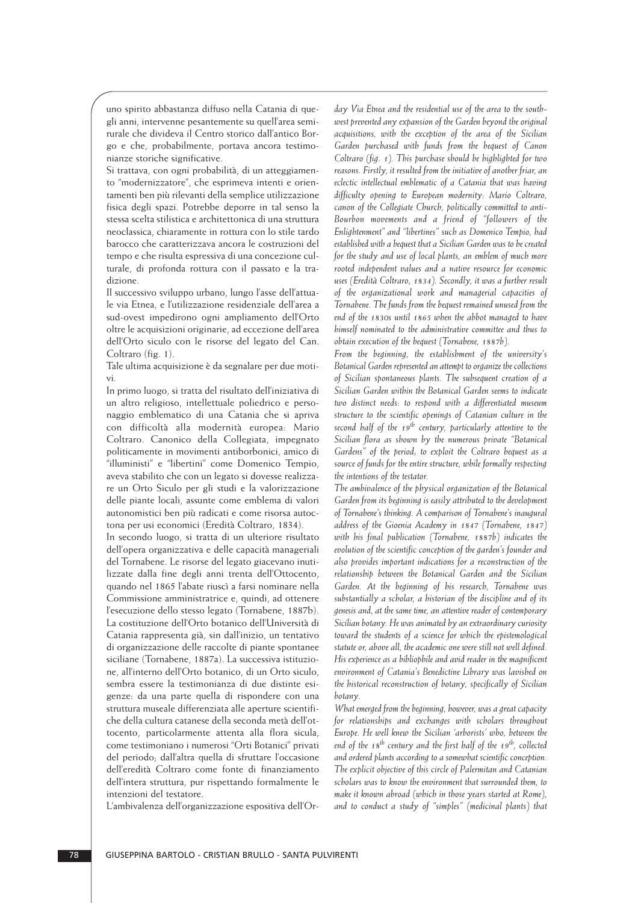uno spirito abbastanza diffuso nella Catania di que gli anni, intervenne pesantemente su quell'area semirurale che divideva il Centro storico dall'antico Bor go e che, probabilmente, portava ancora testimonianze storiche significative.

Si trattava, con ogni probabilità, di un atteggiamento "modernizzatore", che esprimeva intenti e orientamenti ben più rilevanti della semplice utilizzazione fisica degli spazi. Potrebbe deporre in tal senso la stessa scelta stilistica e architettonica di una struttura neoclassica, chiaramente in rottura con lo stile tardo barocco che caratterizzava ancora le costruzioni del tempo e che risulta espressiva di una concezione culturale, di profonda rottura con il passato e la tradizione.

Il successivo sviluppo urbano, lungo l'asse dell'attuale via Etnea, e l'utilizzazione residenziale dell'area a sud-ovest impedirono ogni ampliamento dell'Orto oltre le acquisizioni originarie, ad eccezione dell'area dell'Orto siculo con le risorse del legato del Can. Coltraro (fig. 1).

Tale ultima acquisizione è da segnalare per due motivi.

In primo luogo, si tratta del risultato dell'iniziativa di un altro religioso, intellettuale poliedrico e personaggio emblematico di una Catania che si apriva con difficoltà alla modernità europea: Mario Coltraro. Canonico della Collegiata, impegnato politicamente in movimenti antiborbonici, amico di "illuministi" e "libertini" come Domenico Tempio, aveva stabilito che con un legato si dovesse realizzare un Orto Siculo per gli studi e la valorizzazione delle piante locali, assunte come emblema di valori autonomistici ben più radicati e come risorsa autoctona per usi economici (Eredità Coltraro, 1834).

In secondo luogo, si tratta di un ulteriore risultato dell'opera organizzativa e delle capacità manageriali del Tornabene. Le risorse del legato giacevano inutilizzate dalla fine degli anni trenta dell'Ottocento, quando nel 1865 l'abate riuscì a farsi nominare nella Commissione amministratrice e, quindi, ad ottenere l'esecuzione dello stesso legato (Tornabene, 1887b). La costituzione dell'Orto botanico dell'Università di Catania rappresenta già, sin dall'inizio, un tentativo di organizzazione delle raccolte di piante spontanee siciliane (Tornabene, 1887a). La successiva istituzione, all'interno dell'Orto botanico, di un Orto siculo, sembra essere la testimonianza di due distinte esigenze: da una parte quella di rispondere con una struttura museale differenziata alle aperture scientifiche della cultura catanese della seconda metà dell'ottocento, particolarmente attenta alla flora sicula, come testimoniano i numerosi "Orti Botanici" privati del periodo; dall'altra quella di sfruttare l'occasione dell'eredità Coltraro come fonte di finanziamento dell'intera struttura, pur rispettando formalmente le intenzioni del testatore.

L'ambivalenza dell'organizzazione espositiva dell'Or-

*day Via Etnea and the residential use of the area to the southwest prevented any expansion of the Garden beyond the original acquisitions, with the exception of the area of the Sicilian Garden purchased with funds from the bequest of Canon Coltraro (fig. 1). This purchase should be highlighted for two reasons. Firstly, it resulted from the initiative of another friar, an eclectic intellectual emblematic of a Catania that was having difficulty opening to European modernity: Mario Coltraro, canon of the Collegiate Church, politically committed to anti-Bourbon movements and a friend of "followers of the Enlightenment" and "libertines" such as Domenico Tempio, had established with a bequest that a Sicilian Garden was to be created for the study and use of local plants, an emblem of much more rooted independent values and a native resource for economic uses (Eredità Coltraro, 1834). Secondly, it was a further result of the organizational work and managerial capacities of Tornabene. The funds from the bequest remained unused from the end of the 1830s until 1865 when the abbot managed to have himself nominated to the administrative committee and thus to obtain execution of the bequest (Tornabene, 1887b).*

*From the beginning, the establishment of the university's Botanical Garden represented an attempt to organize the collections of Sicilian spontaneous plants. The subsequent creation of a Sicilian Garden within the Botanical Garden seems to indicate two distinct needs: to respond with a differentiated museum structure to the scientific openings of Catanian culture in the second half of the 19th century, particularly attentive to the Sicilian flora as shown by the numerous private "Botanical Gardens" of the period; to exploit the Coltraro bequest as a source of funds for the entire structure, while formally respecting the intentions of the testator.*

*The ambivalence of the physical organization of the Botanical Garden from its beginning is easily attributed to the development of Tornabene's thinking. A comparison of Tornabene's inaugural address of the Gioenia Academy in 1847 (Tornabene, 1847) with his final publication (Tornabene, 1887b) indicates the evolution of the scientific conception of the garden's founder and also provides important indications for a reconstruction of the relationship between the Botanical Garden and the Sicilian Garden. At the beginning of his research, Tornabene was substantially a scholar, a historian of the discipline and of its genesis and, at the same time, an attentive reader of contemporary Sicilian botany. He was animated by an extraordinary curiosity toward the students of a science for which the epistemological statute or, above all, the academic one were still not well defined. His experience as a bibliophile and avid reader in the magnificent environment of Catania's Benedictine Library was lavished on the historical reconstruction of botany, specifically of Sicilian botany.* 

*What emerged from the beginning, however, was a great capacity for relationships and exchanges with scholars throughout Europe. He well knew the Sicilian 'arborists' who, between the end of the 18th century and the first half of the 19th, collected and ordered plants according to a somewhat scientific conception. The explicit objective of this circle of Palermitan and Catanian scholars was to know the environment that surrounded them, to make it known abroad (which in those years started at Rome), and to conduct a study of "simples" (medicinal plants) that*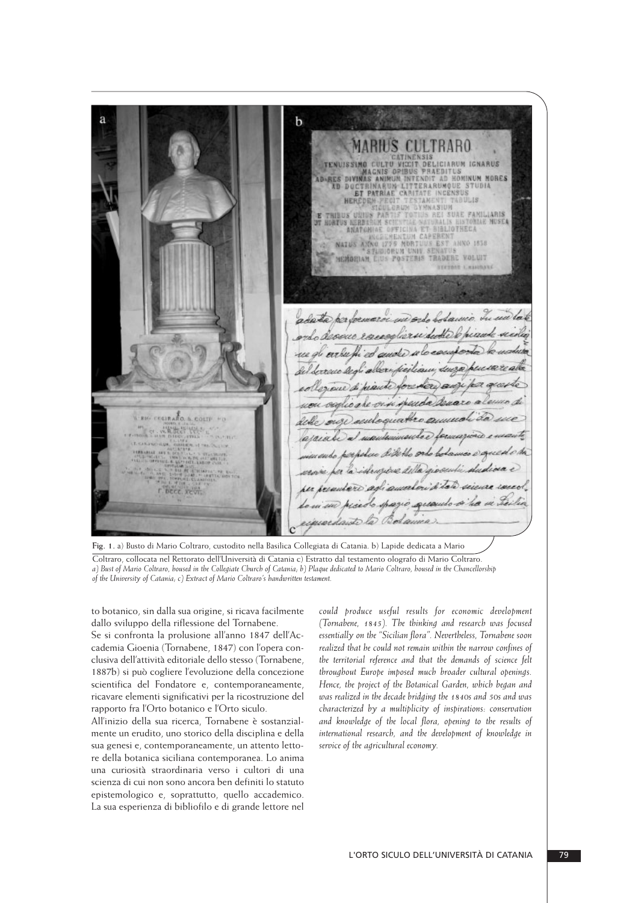b MARIUS CULTRARO TENUISSIMO CULTU VICIT DELICIARUM IGNARUS<br>
MAGNIS OPIBUS PRAEDITUS<br>
MAGNIS OPIBUS PRAEDITUS<br>
AD RES DIVINAS ANIMAUM INTENSITY OF STUDIA<br>
ET PATRIAE CARITATE INCENSUS<br>
HEREDEN PEGIT TESTAMENT TABULIS<br>
ET PATRIAE CARITATE IN NATUS ANNO 1775 MORTUUS EST ANNO 1858 MEMORIAM EIUS POSTERIS TRADERE VOLUIT **ITETRAT L'ASIONARI** adata performacoi un ordo bodamic. In decour escaplizar dutte wro euda RIG COURARD, & COLTF. PO deble 以発洗さ **BEEF WARRANT** 

**Fig. 1.** a) Busto di Mario Coltraro, custodito nella Basilica Collegiata di Catania. b) Lapide dedicata a Mario Coltraro, collocata nel Rettorato dell'Università di Catania c) Estratto dal testamento olografo di Mario Coltraro. *a) Bust of Mario Coltraro, housed in the Collegiate Church of Catania; b) Plaque dedicated to Mario Coltraro, housed in the Chancellorship of the University of Catania; c) Extract of Mario Coltraro's handwritten testament.*

 to botanico, sin dalla sua origine, si ricava facilmente dallo sviluppo della riflessione del Tornabene.

Se si confronta la prolusione all'anno 1847 dell'Accademia Gioenia (Tornabene, 1847) con l'opera conclusiva dell'attività editoriale dello stesso (Tornabene, 1887b) si può cogliere l'evoluzione della concezione scientifica del Fondatore e, contemporaneamente, ricavare elementi significativi per la ricostruzione del rapporto fra l'Orto botanico e l'Orto siculo.

All'inizio della sua ricerca, Tornabene è sostanzialmente un erudito, uno storico della disciplina e della sua genesi e, contemporaneamente, un attento lettore della botanica siciliana contemporanea. Lo anima una curiosità straordinaria verso i cultori di una scienza di cui non sono ancora ben definiti lo statuto epistemologico e, soprattutto, quello accademico. La sua esperienza di bibliofilo e di grande lettore nel *could produce useful results for economic development (Tornabene, 1845). The thinking and research was focused essentially on the "Sicilian flora". Nevertheless, Tornabene soon realized that he could not remain within the narrow confines of the territorial reference and that the demands of science felt throughout Europe imposed much broader cultural openings. Hence, the project of the Botanical Garden, which began and was realized in the decade bridging the 1840s and 50s and was characterized by a multiplicity of inspirations: conservation and knowledge of the local flora, opening to the results of international research, and the development of knowledge in service of the agricultural economy.*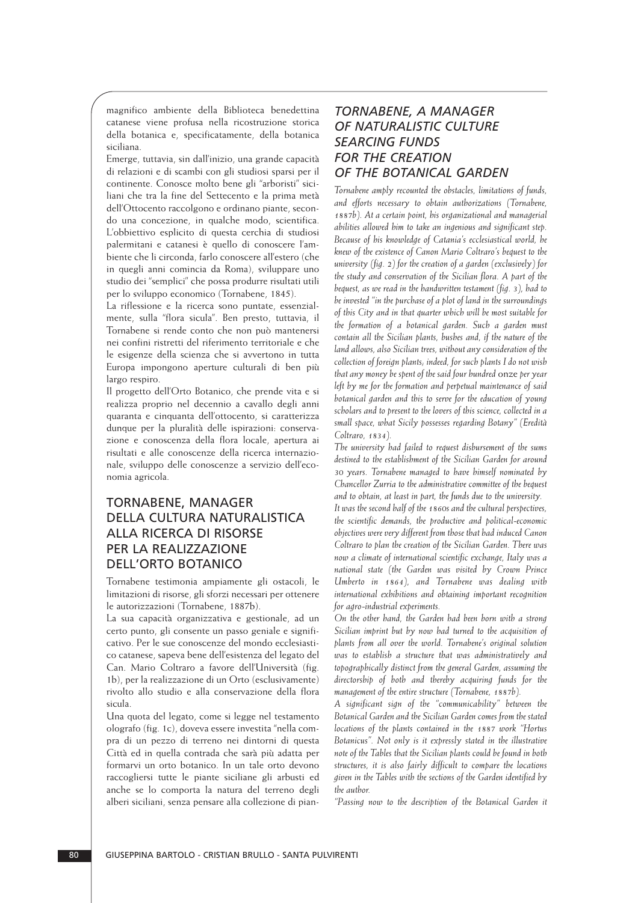magnifico ambiente della Biblioteca benedettina catanese viene profusa nella ricostruzione storica della botanica e, specificatamente, della botanica siciliana.

Emerge, tuttavia, sin dall'inizio, una grande capacità di relazioni e di scambi con gli studiosi sparsi per il continente. Conosce molto bene gli "arboristi" sici liani che tra la fine del Settecento e la prima metà dell'Ottocento raccolgono e ordinano piante, secondo una concezione, in qualche modo, scientifica. L'obbiettivo esplicito di questa cerchia di studiosi palermitani e catanesi è quello di conoscere l'am biente che li circonda, farlo conoscere all'estero (che in quegli anni comincia da Roma), sviluppare uno studio dei "semplici" che possa produrre risultati utili per lo sviluppo economico (Tornabene, 1845).

La riflessione e la ricerca sono puntate, essenzialmente, sulla "flora sicula". Ben presto, tuttavia, il Tornabene si rende conto che non può mantenersi nei confini ristretti del riferimento territoriale e che le esigenze della scienza che si avvertono in tutta Europa impongono aperture culturali di ben più largo respiro.

Il progetto dell'Orto Botanico, che prende vita e si realizza proprio nel decennio a cavallo degli anni quaranta e cinquanta dell'ottocento, si caratterizza dunque per la pluralità delle ispirazioni: conservazione e conoscenza della flora locale, apertura ai risultati e alle conoscenze della ricerca internazionale, sviluppo delle conoscenze a servizio dell'eco nomia agricola.

# TORNABENE, MANAGER DELLA CULTURA NATURALISTICA ALLA RICERCA DI RISORSE PER LA REALIZZAZIONE DELL'ORTO BOTANICO

Tornabene testimonia ampiamente gli ostacoli, le limitazioni di risorse, gli sforzi necessari per ottenere le autorizzazioni (Tornabene, 1887b).

La sua capacità organizzativa e gestionale, ad un certo punto, gli consente un passo geniale e significativo. Per le sue conoscenze del mondo ecclesiastico catanese, sapeva bene dell'esistenza del legato del Can. Mario Coltraro a favore dell'Università (fig. 1b), per la realizzazione di un Orto (esclusivamente) rivolto allo studio e alla conservazione della flora sicula.

Una quota del legato, come si legge nel testamento olografo (fig. 1c), doveva essere investita "nella compra di un pezzo di terreno nei dintorni di questa Città ed in quella contrada che sarà più adatta per formarvi un orto botanico. In un tale orto devono raccogliersi tutte le piante siciliane gli arbusti ed anche se lo comporta la natura del terreno degli alberi siciliani, senza pensare alla collezione di pian-

## *TORNABENE, A MANAGER OF NATURALISTIC CULTURE SEARCING FUNDS FOR THE CREATION OF THE BOTANICAL GARDEN*

*Tornabene amply recounted the obstacles, limitations of funds, and efforts necessary to obtain authorizations (Tornabene, 1887b). At a certain point, his organizational and managerial abilities allowed him to take an ingenious and significant step. Because of his knowledge of Catania's ecclesiastical world, he knew of the existence of Canon Mario Coltraro's bequest to the university (fig. 2) for the creation of a garden (exclusively) for the study and conservation of the Sicilian flora. A part of the bequest, as we read in the handwritten testament (fig. 3), had to be invested "in the purchase of a plot of land in the surroundings of this City and in that quarter which will be most suitable for the formation of a botanical garden. Such a garden must contain all the Sicilian plants, bushes and, if the nature of the land allows, also Sicilian trees, without any consideration of the collection of foreign plants; indeed, for such plants I do not wish that any money be spent of the said four hundred* onze *per year left by me for the formation and perpetual maintenance of said botanical garden and this to serve for the education of young scholars and to present to the lovers of this science, collected in a small space, what Sicily possesses regarding Botany" (Eredità Coltraro, 1834).*

*The university had failed to request disbursement of the sums destined to the establishment of the Sicilian Garden for around 30 years. Tornabene managed to have himself nominated by Chancellor Zurria to the administrative committee of the bequest and to obtain, at least in part, the funds due to the university.*

*It was the second half of the 1860s and the cultural perspectives, the scientific demands, the productive and political-economic objectives were very different from those that had induced Canon Coltraro to plan the creation of the Sicilian Garden. There was now a climate of international scientific exchange, Italy was a national state (the Garden was visited by Crown Prince Umberto in 1864), and Tornabene was dealing with international exhibitions and obtaining important recognition for agro-industrial experiments.* 

*On the other hand, the Garden had been born with a strong Sicilian imprint but by now had turned to the acquisition of plants from all over the world. Tornabene's original solution was to establish a structure that was administratively and topographically distinct from the general Garden, assuming the directorship of both and thereby acquiring funds for the management of the entire structure (Tornabene, 1887b).*

*A significant sign of the "communicability" between the Botanical Garden and the Sicilian Garden comes from the stated locations of the plants contained in the 1887 work "Hortus Botanicus". Not only is it expressly stated in the illustrative note of the Tables that the Sicilian plants could be found in both structures, it is also fairly difficult to compare the locations given in the Tables with the sections of the Garden identified by the author.*

*"Passing now to the description of the Botanical Garden it*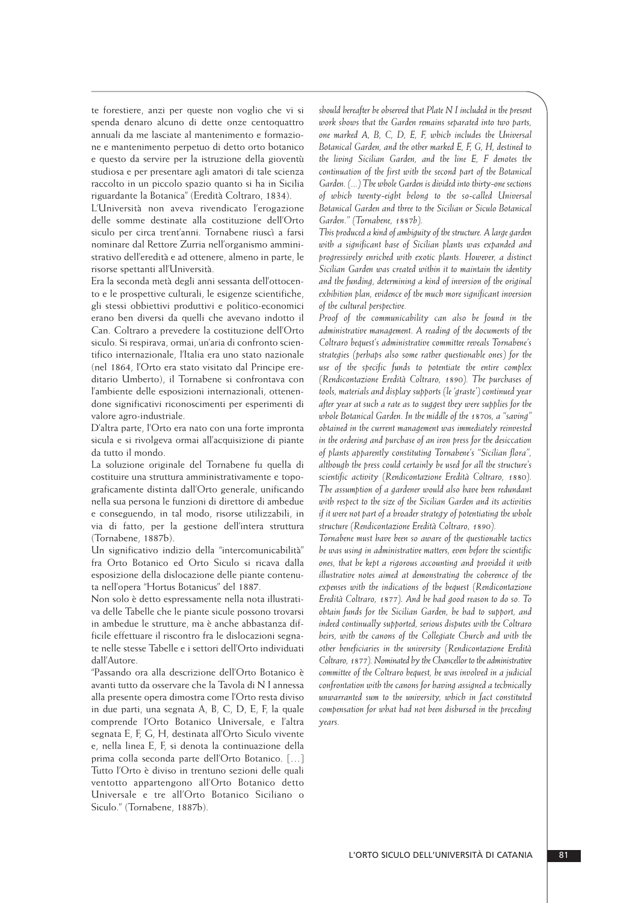te forestiere, anzi per queste non voglio che vi si spenda denaro alcuno di dette onze centoquattro annuali da me lasciate al mantenimento e formazione e mantenimento perpetuo di detto orto botanico e questo da servire per la istruzione della gioventù studiosa e per presentare agli amatori di tale scienza raccolto in un piccolo spazio quanto si ha in Sicilia riguardante la Botanica" (Eredità Coltraro, 1834).

L'Università non aveva rivendicato l'erogazione delle somme destinate alla costituzione dell'Orto siculo per circa trent'anni. Tornabene riuscì a farsi nominare dal Rettore Zurria nell'organismo amministrativo dell'eredità e ad ottenere, almeno in parte, le risorse spettanti all'Università.

Era la seconda metà degli anni sessanta dell'ottocento e le prospettive culturali, le esigenze scientifiche, gli stessi obbiettivi produttivi e politico-economici erano ben diversi da quelli che avevano indotto il Can. Coltraro a prevedere la costituzione dell'Orto siculo. Si respirava, ormai, un'aria di confronto scientifico internazionale, l'Italia era uno stato nazionale (nel 1864, l'Orto era stato visitato dal Principe ereditario Umberto), il Tornabene si confrontava con l'ambiente delle esposizioni internazionali, ottenendone significativi riconoscimenti per esperimenti di valore agro-industriale.

D'altra parte, l'Orto era nato con una forte impronta sicula e si rivolgeva ormai all'acquisizione di piante da tutto il mondo.

La soluzione originale del Tornabene fu quella di costituire una struttura amministrativamente e topograficamente distinta dall'Orto generale, unificando nella sua persona le funzioni di direttore di ambedue e conseguendo, in tal modo, risorse utilizzabili, in via di fatto, per la gestione dell'intera struttura (Tornabene, 1887b).

Un significativo indizio della "intercomunicabilità" fra Orto Botanico ed Orto Siculo si ricava dalla esposizione della dislocazione delle piante contenuta nell'opera "Hortus Botanicus" del 1887.

Non solo è detto espressamente nella nota illustrativa delle Tabelle che le piante sicule possono trovarsi in ambedue le strutture, ma è anche abbastanza difficile effettuare il riscontro fra le dislocazioni segnate nelle stesse Tabelle e i settori dell'Orto individuati dall'Autore.

"Passando ora alla descrizione dell'Orto Botanico è avanti tutto da osservare che la Tavola di N I annessa alla presente opera dimostra come l'Orto resta diviso in due parti, una segnata A, B, C, D, E, F, la quale comprende l'Orto Botanico Universale, e l'altra segnata E, F, G, H, destinata all'Orto Siculo vivente e, nella linea E, F, si denota la continuazione della prima colla seconda parte dell'Orto Botanico. […] Tutto l'Orto è diviso in trentuno sezioni delle quali ventotto appartengono all'Orto Botanico detto Universale e tre all'Orto Botanico Siciliano o Siculo." (Tornabene, 1887b).

*should hereafter be observed that Plate N I included in the present work shows that the Garden remains separated into two parts, one marked A, B, C, D, E, F, which includes the Universal Botanical Garden, and the other marked E, F, G, H, destined to the living Sicilian Garden, and the line E, F denotes the continuation of the first with the second part of the Botanical Garden. (...) The whole Garden is divided into thirty-one sections of which twenty-eight belong to the so-called Universal Botanical Garden and three to the Sicilian or Siculo Botanical Garden." (Tornabene, 1887b).*

*This produced a kind of ambiguity of the structure. A large garden with a significant base of Sicilian plants was expanded and progressively enriched with exotic plants. However, a distinct Sicilian Garden was created within it to maintain the identity and the funding, determining a kind of inversion of the original exhibition plan, evidence of the much more significant inversion of the cultural perspective.*

*Proof of the communicability can also be found in the administrative management. A reading of the documents of the Coltraro bequest's administrative committee reveals Tornabene's strategies (perhaps also some rather questionable ones) for the use of the specific funds to potentiate the entire complex (Rendicontazione Eredità Coltraro, 1890). The purchases of tools, materials and display supports (le 'graste') continued year after year at such a rate as to suggest they were supplies for the whole Botanical Garden. In the middle of the 1870s, a "saving" obtained in the current management was immediately reinvested in the ordering and purchase of an iron press for the desiccation of plants apparently constituting Tornabene's "Sicilian flora", although the press could certainly be used for all the structure's scientific activity (Rendicontazione Eredità Coltraro, 1880). The assumption of a gardener would also have been redundant with respect to the size of the Sicilian Garden and its activities if it were not part of a broader strategy of potentiating the whole structure (Rendicontazione Eredità Coltraro, 1890).*

*Tornabene must have been so aware of the questionable tactics he was using in administrative matters, even before the scientific ones, that he kept a rigorous accounting and provided it with illustrative notes aimed at demonstrating the coherence of the expenses with the indications of the bequest (Rendicontazione Eredità Coltraro, 1877). And he had good reason to do so. To obtain funds for the Sicilian Garden, he had to support, and indeed continually supported, serious disputes with the Coltraro heirs, with the canons of the Collegiate Church and with the other beneficiaries in the university (Rendicontazione Eredità Coltraro, 1877). Nominated by the Chancellor to the administrative committee of the Coltraro bequest, he was involved in a judicial confrontation with the canons for having assigned a technically unwarranted sum to the university, which in fact constituted compensation for what had not been disbursed in the preceding years.*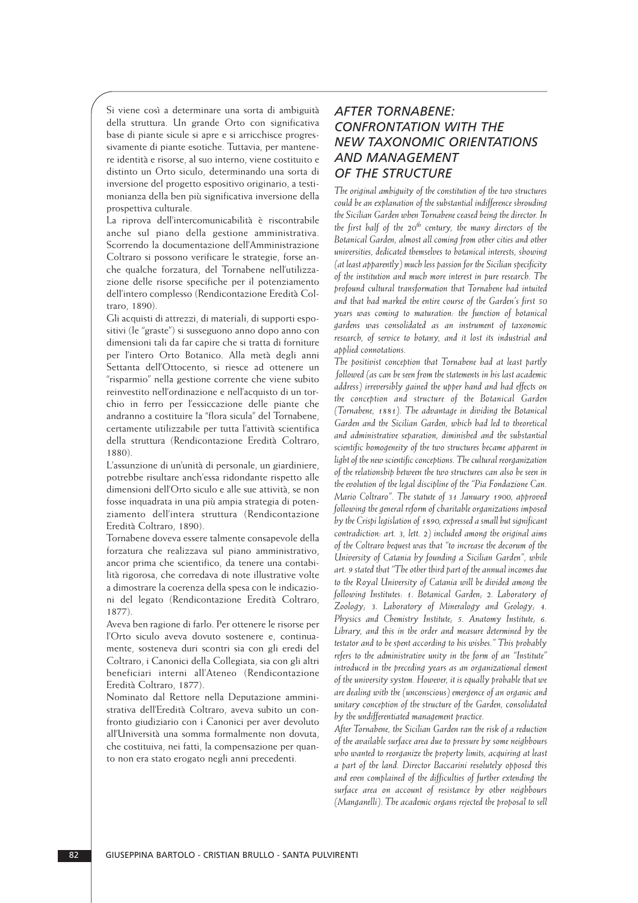Si viene così a determinare una sorta di ambiguità della struttura. Un grande Orto con significativa base di piante sicule si apre e si arricchisce progressivamente di piante esotiche. Tuttavia, per mantenere identità e risorse, al suo interno, viene costituito e distinto un Orto siculo, determinando una sorta di inversione del progetto espositivo originario, a testimonianza della ben più significativa inversione della prospettiva culturale.

La riprova dell'intercomunicabilità è riscontrabile anche sul piano della gestione amministrativa. Scorrendo la documentazione dell'Amministrazione Coltraro si possono verificare le strategie, forse an che qualche forzatura, del Tornabene nell'utilizza zione delle risorse specifiche per il potenziamento dell'intero complesso (Rendicontazione Eredità Col traro, 1890).

Gli acquisti di attrezzi, di materiali, di supporti espositivi (le "graste") si susseguono anno dopo anno con dimensioni tali da far capire che si tratta di forniture per l'intero Orto Botanico. Alla metà degli anni Settanta dell'Ottocento, si riesce ad ottenere un "risparmio" nella gestione corrente che viene subito reinvestito nell'ordinazione e nell'acquisto di un torchio in ferro per l'essiccazione delle piante che andranno a costituire la "flora sicula" del Tornabene, certamente utilizzabile per tutta l'attività scientifica della struttura (Rendicontazione Eredità Coltraro, 1880).

L'assunzione di un'unità di personale, un giardiniere, potrebbe risultare anch'essa ridondante rispetto alle dimensioni dell'Orto siculo e alle sue attività, se non fosse inquadrata in una più ampia strategia di potenziamento dell'intera struttura (Rendicontazione Eredità Coltraro, 1890).

Tornabene doveva essere talmente consapevole della forzatura che realizzava sul piano amministrativo, ancor prima che scientifico, da tenere una contabilità rigorosa, che corredava di note illustrative volte a dimostrare la coerenza della spesa con le indicazioni del legato (Rendicontazione Eredità Coltraro, 1877).

Aveva ben ragione di farlo. Per ottenere le risorse per l'Orto siculo aveva dovuto sostenere e, continuamente, sosteneva duri scontri sia con gli eredi del Coltraro, i Canonici della Collegiata, sia con gli altri beneficiari interni all'Ateneo (Rendicontazione Eredità Coltraro, 1877).

Nominato dal Rettore nella Deputazione amministrativa dell'Eredità Coltraro, aveva subito un confronto giudiziario con i Canonici per aver devoluto all'Università una somma formalmente non dovuta, che costituiva, nei fatti, la compensazione per quanto non era stato erogato negli anni precedenti.

# *AFTER TORNABENE: CONFRONTATION WITH THE NEW TAXONOMIC ORIENTATIONS AND MANAGEMENT OF THE STRUCTURE*

*The original ambiguity of the constitution of the two structures could be an explanation of the substantial indifference shrouding the Sicilian Garden when Tornabene ceased being the director. In the first half of the 20th century, the many directors of the Botanical Garden, almost all coming from other cities and other universities, dedicated themselves to botanical interests, showing (at least apparently) much less passion for the Sicilian specificity of the institution and much more interest in pure research. The profound cultural transformation that Tornabene had intuited and that had marked the entire course of the Garden's first 50 years was coming to maturation: the function of botanical gardens was consolidated as an instrument of taxonomic research, of service to botany, and it lost its industrial and applied connotations.* 

*The positivist conception that Tornabene had at least partly followed (as can be seen from the statements in his last academic address) irreversibly gained the upper hand and had effects on the conception and structure of the Botanical Garden (Tornabene, 1881). The advantage in dividing the Botanical Garden and the Sicilian Garden, which had led to theoretical and administrative separation, diminished and the substantial scientific homogeneity of the two structures became apparent in light of the new scientific conceptions. The cultural reorganization of the relationship between the two structures can also be seen in the evolution of the legal discipline of the "Pia Fondazione Can. Mario Coltraro". The statute of 31 January 1900, approved following the general reform of charitable organizations imposed by the Crispi legislation of 1890, expressed a small but significant contradiction: art. 3, lett. 2) included among the original aims of the Coltraro bequest was that "to increase the decorum of the University of Catania by founding a Sicilian Garden", while art. 9 stated that "The other third part of the annual incomes due to the Royal University of Catania will be divided among the following Institutes: 1. Botanical Garden; 2. Laboratory of Zoology; 3. Laboratory of Mineralogy and Geology; 4. Physics and Chemistry Institute; 5. Anatomy Institute; 6. Library, and this in the order and measure determined by the testator and to be spent according to his wishes." This probably refers to the administrative unity in the form of an "Institute" introduced in the preceding years as an organizational element of the university system. However, it is equally probable that we are dealing with the (unconscious) emergence of an organic and unitary conception of the structure of the Garden, consolidated by the undifferentiated management practice.*

*After Tornabene, the Sicilian Garden ran the risk of a reduction of the available surface area due to pressure by some neighbours who wanted to reorganize the property limits, acquiring at least a part of the land. Director Baccarini resolutely opposed this and even complained of the difficulties of further extending the surface area on account of resistance by other neighbours (Manganelli). The academic organs rejected the proposal to sell*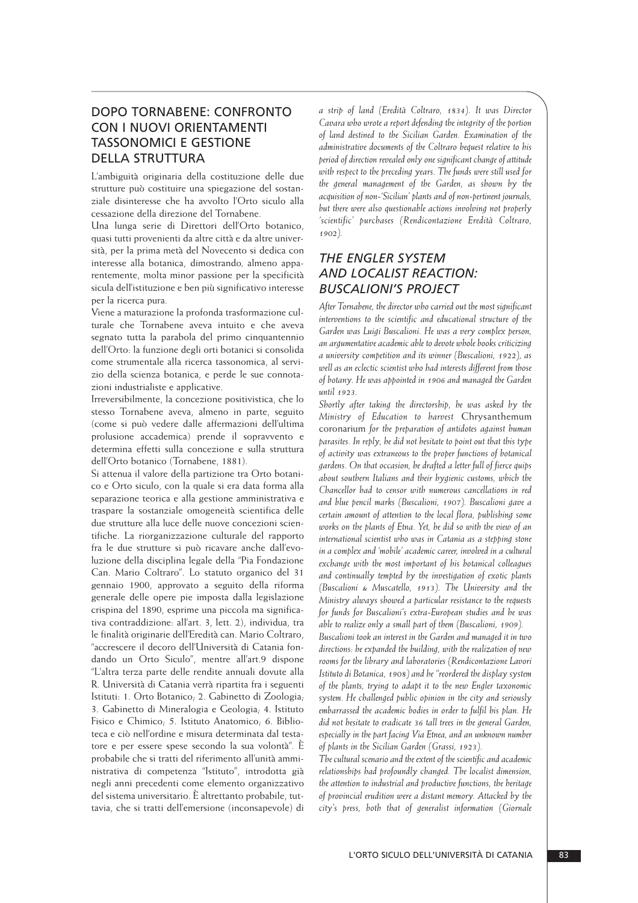# DOPO TORNABENE: CONFRONTO CON I NUOVI ORIENTAMENTI TASSONOMICI E GESTIONE DELLA STRUTTURA

L'ambiguità originaria della costituzione delle due strutture può costituire una spiegazione del sostan ziale disinteresse che ha avvolto l'Orto siculo alla cessazione della direzione del Tornabene.

Una lunga serie di Direttori dell'Orto botanico, quasi tutti provenienti da altre città e da altre università, per la prima metà del Novecento si dedica con interesse alla botanica, dimostrando*,* almeno apparentemente, molta minor passione per la specificità sicula dell'istituzione e ben più significativo interesse per la ricerca pura.

Viene a maturazione la profonda trasformazione culturale che Tornabene aveva intuito e che aveva segnato tutta la parabola del primo cinquantennio dell'Orto: la funzione degli orti botanici si consolida come strumentale alla ricerca tassonomica, al servizio della scienza botanica, e perde le sue connotazioni industrialiste e applicative.

Irreversibilmente, la concezione positivistica, che lo stesso Tornabene aveva, almeno in parte, seguito (come si può vedere dalle affermazioni dell'ultima prolusione accademica) prende il sopravvento e determina effetti sulla concezione e sulla struttura dell'Orto botanico (Tornabene, 1881).

Si attenua il valore della partizione tra Orto botanico e Orto siculo, con la quale si era data forma alla separazione teorica e alla gestione amministrativa e traspare la sostanziale omogeneità scientifica delle due strutture alla luce delle nuove concezioni scientifiche. La riorganizzazione culturale del rapporto fra le due strutture si può ricavare anche dall'evoluzione della disciplina legale della "Pia Fondazione Can. Mario Coltraro". Lo statuto organico del 31 gennaio 1900, approvato a seguito della riforma generale delle opere pie imposta dalla legislazione crispina del 1890, esprime una piccola ma significativa contraddizione: all'art. 3, lett. 2), individua, tra le finalità originarie dell'Eredità can. Mario Coltraro, "accrescere il decoro dell'Università di Catania fondando un Orto Siculo", mentre all'art.9 dispone "L'altra terza parte delle rendite annuali dovute alla R. Università di Catania verrà ripartita fra i seguenti Istituti: 1. Orto Botanico; 2. Gabinetto di Zoologia; 3. Gabinetto di Mineralogia e Geologia; 4. Istituto Fisico e Chimico; 5. Istituto Anatomico; 6. Biblioteca e ciò nell'ordine e misura determinata dal testatore e per essere spese secondo la sua volontà"*.* È pro babile che si tratti del riferimento all'unità ammi nistrativa di competenza "Istituto", introdotta già negli anni precedenti come elemento organizzativo del sistema universitario. È altrettanto probabile, tuttavia, che si tratti dell'emersione (inconsapevole) di *a strip of land (Eredità Coltraro, 1834). It was Director Cavara who wrote a report defending the integrity of the portion of land destined to the Sicilian Garden. Examination of the administrative documents of the Coltraro bequest relative to his period of direction revealed only one significant change of attitude with respect to the preceding years. The funds were still used for the general management of the Garden, as shown by the acquisition of non-'Sicilian' plants and of non-pertinent journals, but there were also questionable actions involving not properly 'scientific' purchases (Rendicontazione Eredità Coltraro, 1902).*

## *THE ENGLER SYSTEM AND LOCALIST REACTION: BUSCALIONI'S PROJECT*

*After Tornabene, the director who carried out the most significant interventions to the scientific and educational structure of the Garden was Luigi Buscalioni. He was a very complex person, an argumentative academic able to devote whole books criticizing a university competition and its winner (Buscalioni, 1922), as well as an eclectic scientist who had interests different from those of botany. He was appointed in 1906 and managed the Garden until 1923.*

*Shortly after taking the directorship, he was asked by the Ministry of Education to harvest* Chrysanthemum coronarium *for the preparation of antidotes against human parasites. In reply, he did not hesitate to point out that this type of activity was extraneous to the proper functions of botanical gardens. On that occasion, he drafted a letter full of fierce quips about southern Italians and their hygienic customs, which the Chancellor had to censor with numerous cancellations in red and blue pencil marks (Buscalioni, 1907). Buscalioni gave a certain amount of attention to the local flora, publishing some works on the plants of Etna. Yet, he did so with the view of an international scientist who was in Catania as a stepping stone in a complex and 'mobile' academic career, involved in a cultural exchange with the most important of his botanical colleagues and continually tempted by the investigation of exotic plants (Buscalioni & Muscatello, 1913). The University and the Ministry always showed a particular resistance to the requests for funds for Buscalioni's extra-European studies and he was able to realize only a small part of them (Buscalioni, 1909).*

*Buscalioni took an interest in the Garden and managed it in two directions: he expanded the building, with the realization of new rooms for the library and laboratories (Rendicontazione Lavori Istituto di Botanica, 1908) and he "reordered the display system of the plants, trying to adapt it to the new Engler taxonomic system. He challenged public opinion in the city and seriously embarrassed the academic bodies in order to fulfil his plan. He did not hesitate to eradicate 36 tall trees in the general Garden, especially in the part facing Via Etnea, and an unknown number of plants in the Sicilian Garden (Grassi, 1923).*

*The cultural scenario and the extent of the scientific and academic relationships had profoundly changed. The localist dimension, the attention to industrial and productive functions, the heritage of provincial erudition were a distant memory. Attacked by the city's press, both that of generalist information (Giornale*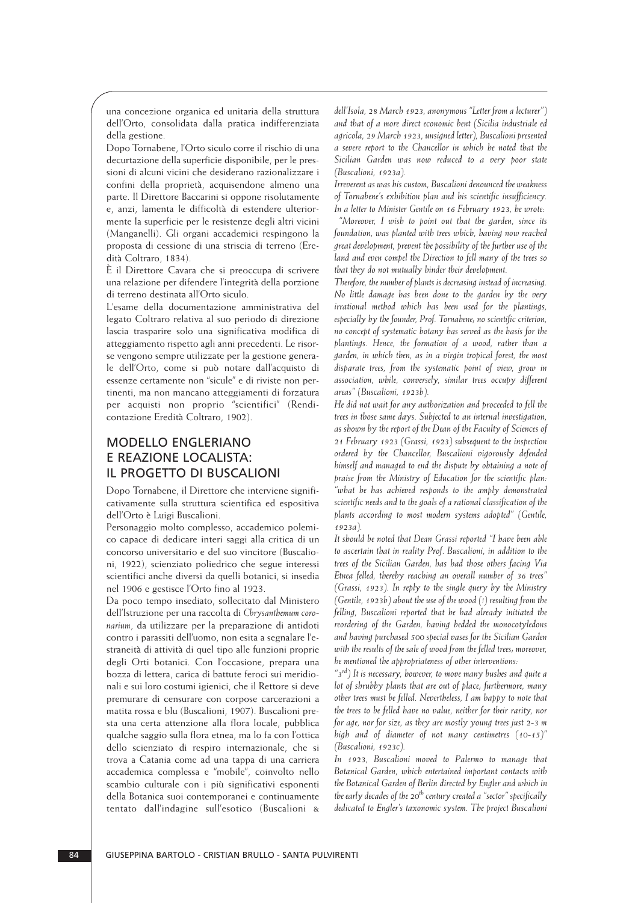una concezione organica ed unitaria della struttura dell'Orto, consolidata dalla pratica indifferenziata della gestione.

Dopo Tornabene, l'Orto siculo corre il rischio di una decurtazione della superficie disponibile, per le pressioni di alcuni vicini che desiderano razionalizzare i confini della proprietà, acquisendone almeno una parte. Il Direttore Baccarini si oppone risolutamente e, anzi, lamenta le difficoltà di estendere ulteriormente la superficie per le resistenze degli altri vicini (Manganelli). Gli organi accademici respingono la proposta di cessione di una striscia di terreno (Eredità Coltraro, 1834).

È il Direttore Cavara che si preoccupa di scrivere una relazione per difendere l'integrità della porzione di terreno destinata all'Orto siculo.

L'esame della documentazione amministrativa del legato Coltraro relativa al suo periodo di direzione lascia trasparire solo una significativa modifica di atteggiamento rispetto agli anni precedenti. Le risorse vengono sempre utilizzate per la gestione generale dell'Orto, come si può notare dall'acquisto di essenze certamente non "sicule" e di riviste non pertinenti, ma non mancano atteggiamenti di forzatura per acquisti non proprio "scientifici" (Rendicontazione Eredità Coltraro, 1902).

## MODELLO ENGLERIANO E REAZIONE LOCALISTA: IL PROGETTO DI BUSCALIONI

Dopo Tornabene, il Direttore che interviene significativamente sulla struttura scientifica ed espositiva dell'Orto è Luigi Buscalioni.

Personaggio molto complesso, accademico polemico capace di dedicare interi saggi alla critica di un concorso universitario e del suo vincitore (Buscalioni, 1922), scienziato poliedrico che segue interessi scientifici anche diversi da quelli botanici, si insedia nel 1906 e gestisce l'Orto fino al 1923.

Da poco tempo insediato, sollecitato dal Ministero dell'Istruzione per una raccolta di *Chrysanthemum coronarium*, da utilizzare per la preparazione di antidoti contro i parassiti dell'uomo, non esita a segnalare l'estraneità di attività di quel tipo alle funzioni proprie degli Orti botanici. Con l'occasione, prepara una bozza di lettera, carica di battute feroci sui meridionali e sui loro costumi igienici, che il Rettore si deve premurare di censurare con corpose carcerazioni a matita rossa e blu (Buscalioni, 1907). Buscalioni presta una certa attenzione alla flora locale, pubblica qualche saggio sulla flora etnea, ma lo fa con l'ottica dello scienziato di respiro internazionale, che si trova a Catania come ad una tappa di una carriera accademica complessa e "mobile", coinvolto nello scambio culturale con i più significativi esponenti della Botanica suoi contemporanei e continuamente tentato dall'indagine sull'esotico (Buscalioni &

*dell'Isola, 28 March 1923, anonymous "Letter from a lecturer") and that of a more direct economic bent (Sicilia industriale ed agricola, 29 March 1923, unsigned letter), Buscalioni presented a severe report to the Chancellor in which he noted that the Sicilian Garden was now reduced to a very poor state (Buscalioni, 1923a).* 

*Irreverent as was his custom, Buscalioni denounced the weakness of Tornabene's exhibition plan and his scientific insufficiency. In a letter to Minister Gentile on 16 February 1923, he wrote:*

*"Moreover, I wish to point out that the garden, since its foundation, was planted with trees which, having now reached great development, prevent the possibility of the further use of the land and even compel the Direction to fell many of the trees so that they do not mutually hinder their development.*

*Therefore, the number of plants is decreasing instead of increasing. No little damage has been done to the garden by the very irrational method which has been used for the plantings, especially by the founder, Prof. Tornabene; no scientific criterion, no concept of systematic botany has served as the basis for the plantings. Hence, the formation of a wood, rather than a garden, in which then, as in a virgin tropical forest, the most disparate trees, from the systematic point of view, grow in association, while, conversely, similar trees occupy different areas" (Buscalioni, 1923b).*

*He did not wait for any authorization and proceeded to fell the trees in those same days. Subjected to an internal investigation, as shown by the report of the Dean of the Faculty of Sciences of 21 February 1923 (Grassi, 1923) subsequent to the inspection ordered by the Chancellor, Buscalioni vigorously defended himself and managed to end the dispute by obtaining a note of praise from the Ministry of Education for the scientific plan: "what he has achieved responds to the amply demonstrated scientific needs and to the goals of a rational classification of the plants according to most modern systems adopted" (Gentile, 1923a).*

*It should be noted that Dean Grassi reported "I have been able to ascertain that in reality Prof. Buscalioni, in addition to the trees of the Sicilian Garden, has had those others facing Via Etnea felled, thereby reaching an overall number of 36 trees" (Grassi, 1923). In reply to the single query by the Ministry (Gentile, 1923b) about the use of the wood (!) resulting from the felling, Buscalioni reported that he had already initiated the reordering of the Garden, having bedded the monocotyledons and having purchased 500 special vases for the Sicilian Garden with the results of the sale of wood from the felled trees; moreover, he mentioned the appropriateness of other interventions:*

*"3rd) It is necessary, however, to move many bushes and quite a lot of shrubby plants that are out of place; furthermore, many other trees must be felled. Nevertheless, I am happy to note that the trees to be felled have no value, neither for their rarity, nor for age, nor for size, as they are mostly young trees just 2-3 m high and of diameter of not many centimetres (10-15)" (Buscalioni, 1923c).*

*In 1923, Buscalioni moved to Palermo to manage that Botanical Garden, which entertained important contacts with the Botanical Garden of Berlin directed by Engler and which in the early decades of the 20th century created a "sector" specifically dedicated to Engler's taxonomic system. The project Buscalioni*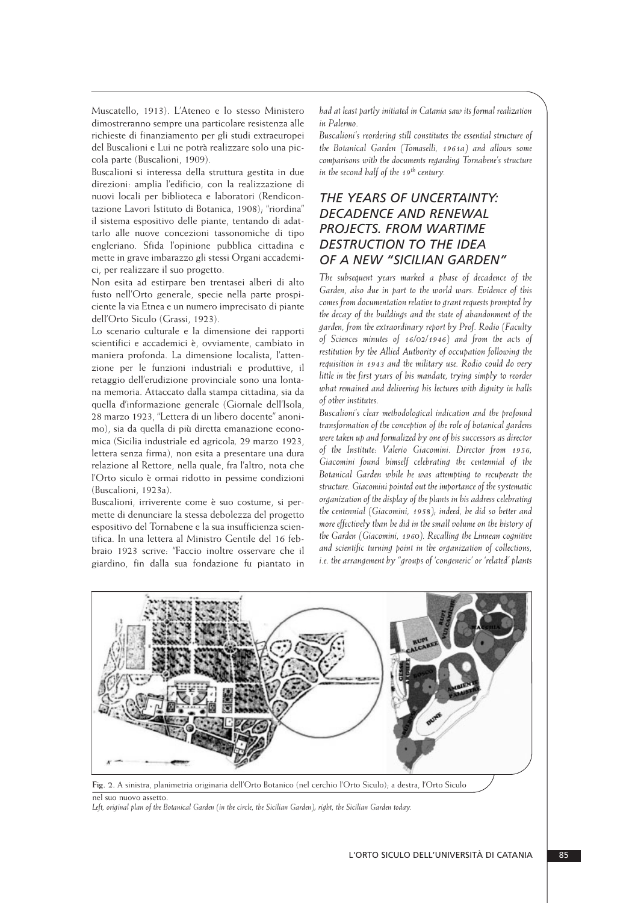Muscatello, 1913). L'Ateneo e lo stesso Ministero dimostreranno sempre una particolare resistenza alle richieste di finanziamento per gli studi extraeuropei del Buscalioni e Lui ne potrà realizzare solo una piccola parte (Buscalioni, 1909).

Buscalioni si interessa della struttura gestita in due direzioni: amplia l'edificio, con la realizzazione di nuovi locali per biblioteca e laboratori (Rendicontazione Lavori Istituto di Botanica, 1908); "riordina" il sistema espositivo delle piante, tentando di adattarlo alle nuove concezioni tassonomiche di tipo engleriano. Sfida l'opinione pubblica cittadina e mette in grave imbarazzo gli stessi Organi accademici, per realizzare il suo progetto.

Non esita ad estirpare ben trentasei alberi di alto fusto nell'Orto generale, specie nella parte prospiciente la via Etnea e un numero imprecisato di piante dell'Orto Siculo (Grassi, 1923).

Lo scenario culturale e la dimensione dei rapporti scientifici e accademici è, ovviamente, cambiato in maniera profonda. La dimensione localista, l'attenzione per le funzioni industriali e produttive, il retaggio dell'erudizione provinciale sono una lontana memoria. Attaccato dalla stampa cittadina, sia da quella d'informazione generale (Giornale dell'Isola, 28 marzo 1923, "Lettera di un libero docente" anonimo), sia da quella di più diretta emanazione economica (Sicilia industriale ed agricola*,* 29 marzo 1923, lettera senza firma), non esita a presentare una dura relazione al Rettore, nella quale, fra l'altro, nota che l'Orto siculo è ormai ridotto in pessime condizioni (Buscalioni, 1923a).

Buscalioni, irriverente come è suo costume, si permette di denunciare la stessa debolezza del progetto espositivo del Tornabene e la sua insufficienza scientifica. In una lettera al Ministro Gentile del 16 febbraio 1923 scrive: "Faccio inoltre osservare che il giardino, fin dalla sua fondazione fu piantato in

*had at least partly initiated in Catania saw its formal realization in Palermo.*

*Buscalioni's reordering still constitutes the essential structure of the Botanical Garden (Tomaselli, 1961a) and allows some comparisons with the documents regarding Tornabene's structure in the second half of the 19th century.*

## *THE YEARS OF UNCERTAINTY: DECADENCE AND RENEWAL PROJECTS. FROM WARTIME DESTRUCTION TO THE IDEA OF A NEW "SICILIAN GARDEN"*

*The subsequent years marked a phase of decadence of the Garden, also due in part to the world wars. Evidence of this comes from documentation relative to grant requests prompted by the decay of the buildings and the state of abandonment of the garden, from the extraordinary report by Prof. Rodio (Faculty of Sciences minutes of 16/02/1946) and from the acts of restitution by the Allied Authority of occupation following the requisition in 1943 and the military use. Rodio could do very little in the first years of his mandate, trying simply to reorder what remained and delivering his lectures with dignity in halls of other institutes.*

*Buscalioni's clear methodological indication and the profound transformation of the conception of the role of botanical gardens were taken up and formalized by one of his successors as director of the Institute: Valerio Giacomini. Director from 1956, Giacomini found himself celebrating the centennial of the Botanical Garden while he was attempting to recuperate the structure. Giacomini pointed out the importance of the systematic organization of the display of the plants in his address celebrating the centennial (Giacomini, 1958); indeed, he did so better and more effectively than he did in the small volume on the history of the Garden (Giacomini, 1960). Recalling the Linnean cognitive and scientific turning point in the organization of collections, i.e. the arrangement by "groups of 'congeneric' or 'related' plants*



**Fig. 2.** A sinistra, planimetria originaria dell'Orto Botanico (nel cerchio l'Orto Siculo); a destra, l'Orto Siculo nel suo nuovo assetto.

*Left, original plan of the Botanical Garden (in the circle, the Sicilian Garden); right, the Sicilian Garden today.*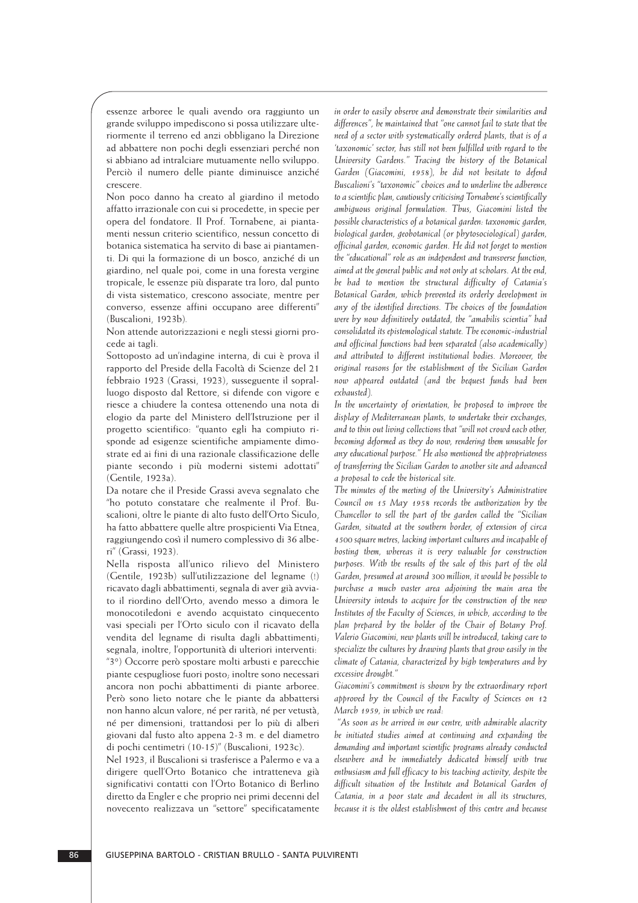essenze arboree le quali avendo ora raggiunto un grande sviluppo impediscono si possa utilizzare ulteriormente il terreno ed anzi obbligano la Direzione ad abbattere non pochi degli essenziari perché non si abbiano ad intralciare mutuamente nello sviluppo. Perciò il numero delle piante diminuisce anziché crescere.

Non poco danno ha creato al giardino il metodo affatto irrazionale con cui si procedette, in specie per opera del fondatore. Il Prof. Tornabene, ai piantamenti nessun criterio scientifico, nessun concetto di botanica sistematica ha servito di base ai piantamenti. Di qui la formazione di un bosco, anziché di un giardino, nel quale poi, come in una foresta vergine tropicale, le essenze più disparate tra loro, dal punto di vista sistematico, crescono associate, mentre per converso, essenze affini occupano aree differenti" (Buscalioni, 1923b)*.*

Non attende autorizzazioni e negli stessi giorni procede ai tagli.

Sottoposto ad un'indagine interna, di cui è prova il rapporto del Preside della Facoltà di Scienze del 21 febbraio 1923 (Grassi, 1923), susseguente il sopralluogo disposto dal Rettore, si difende con vigore e riesce a chiudere la contesa ottenendo una nota di elogio da parte del Ministero dell'Istruzione per il progetto scientifico: "quanto egli ha compiuto risponde ad esigenze scientifiche ampiamente dimostrate ed ai fini di una razionale classificazione delle piante secondo i più moderni sistemi adottati" (Gentile, 1923a).

Da notare che il Preside Grassi aveva segnalato che "ho potuto constatare che realmente il Prof. Buscalioni, oltre le piante di alto fusto dell'Orto Siculo, ha fatto abbattere quelle altre prospicienti Via Etnea, raggiungendo così il numero complessivo di 36 alberi" (Grassi, 1923).

Nella risposta all'unico rilievo del Ministero (Gentile, 1923b) sull'utilizzazione del legname (!) ricavato dagli abbattimenti, segnala di aver già avviato il riordino dell'Orto, avendo messo a dimora le monocotiledoni e avendo acquistato cinquecento vasi speciali per l'Orto siculo con il ricavato della vendita del legname di risulta dagli abbattimenti; segnala, inoltre, l'opportunità di ulteriori interventi: "3°) Occorre però spostare molti arbusti e parecchie piante cespugliose fuori posto; inoltre sono necessari ancora non pochi abbattimenti di piante arboree. Però sono lieto notare che le piante da abbattersi non hanno alcun valore, né per rarità, né per vetustà, né per dimensioni, trattandosi per lo più di alberi giovani dal fusto alto appena 2-3 m. e del diametro di pochi centimetri (10-15)" (Buscalioni, 1923c).

Nel 1923, il Buscalioni si trasferisce a Palermo e va a dirigere quell'Orto Botanico che intratteneva già significativi contatti con l'Orto Botanico di Berlino diretto da Engler e che proprio nei primi decenni del novecento realizzava un "settore" specificatamente *in order to easily observe and demonstrate their similarities and differences", he maintained that "one cannot fail to state that the need of a sector with systematically ordered plants, that is of a 'taxonomic' sector, has still not been fulfilled with regard to the University Gardens." Tracing the history of the Botanical Garden (Giacomini, 1958), he did not hesitate to defend Buscalioni's "taxonomic" choices and to underline the adherence to a scientific plan, cautiously criticising Tornabene's scientifically ambiguous original formulation. Thus, Giacomini listed the possible characteristics of a botanical garden: taxonomic garden, biological garden, geobotanical (or phytosociological) garden, officinal garden, economic garden. He did not forget to mention the "educational" role as an independent and transverse function, aimed at the general public and not only at scholars. At the end, he had to mention the structural difficulty of Catania's Botanical Garden, which prevented its orderly development in any of the identified directions. The choices of the foundation were by now definitively outdated, the "amabilis scientia" had consolidated its epistemological statute. The economic-industrial and officinal functions had been separated (also academically) and attributed to different institutional bodies. Moreover, the original reasons for the establishment of the Sicilian Garden now appeared outdated (and the bequest funds had been exhausted).*

*In the uncertainty of orientation, he proposed to improve the display of Mediterranean plants, to undertake their exchanges, and to thin out living collections that "will not crowd each other, becoming deformed as they do now, rendering them unusable for any educational purpose." He also mentioned the appropriateness of transferring the Sicilian Garden to another site and advanced a proposal to cede the historical site.* 

*The minutes of the meeting of the University's Administrative Council on 15 May 1958 records the authorization by the Chancellor to sell the part of the garden called the "Sicilian Garden, situated at the southern border, of extension of circa 4500 square metres, lacking important cultures and incapable of hosting them, whereas it is very valuable for construction purposes. With the results of the sale of this part of the old Garden, presumed at around 300 million, it would be possible to purchase a much vaster area adjoining the main area the University intends to acquire for the construction of the new Institutes of the Faculty of Sciences, in which, according to the plan prepared by the holder of the Chair of Botany Prof. Valerio Giacomini, new plants will be introduced, taking care to specialize the cultures by drawing plants that grow easily in the climate of Catania, characterized by high temperatures and by excessive drought."*

*Giacomini's commitment is shown by the extraordinary report approved by the Council of the Faculty of Sciences on 12 March 1959, in which we read:*

*"As soon as he arrived in our centre, with admirable alacrity he initiated studies aimed at continuing and expanding the demanding and important scientific programs already conducted elsewhere and he immediately dedicated himself with true enthusiasm and full efficacy to his teaching activity, despite the difficult situation of the Institute and Botanical Garden of Catania, in a poor state and decadent in all its structures, because it is the oldest establishment of this centre and because*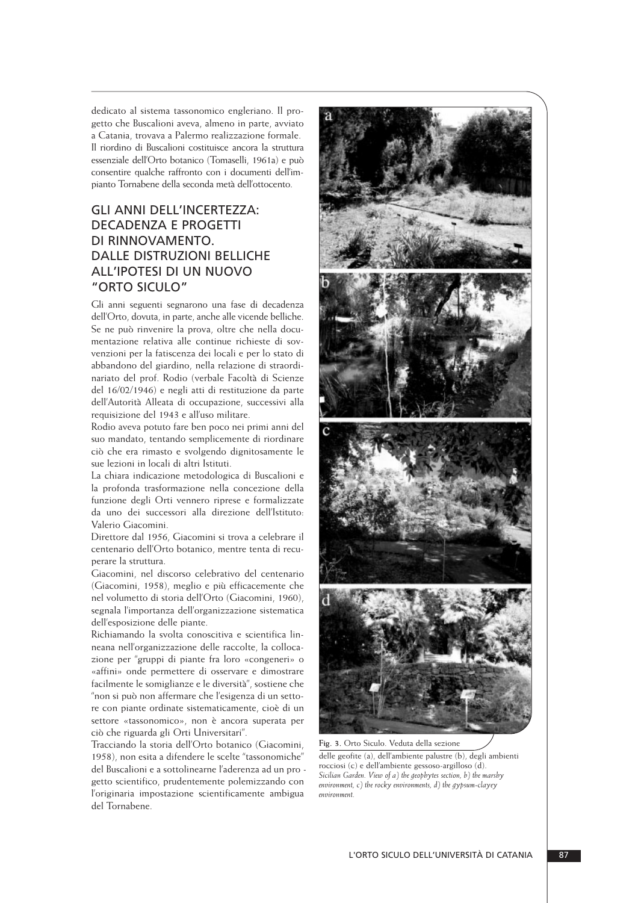dedicato al sistema tassonomico engleriano. Il progetto che Buscalioni aveva, almeno in parte, avviato a Catania, trovava a Palermo realizzazione formale. Il riordino di Buscalioni costituisce ancora la struttura essenziale dell'Orto botanico (Tomaselli, 1961a) e può consentire qualche raffronto con i documenti dell'impianto Tornabene della seconda metà dell'ottocento.

# GLI ANNI DELL'INCERTEZZA: DECADENZA E PROGETTI DI RINNOVAMENTO. DALLE DISTRUZIONI BELLICHE ALL'IPOTESI DI UN NUOVO "ORTO SICULO"

Gli anni seguenti segnarono una fase di decadenza dell'Orto, dovuta, in parte, anche alle vicende belliche. Se ne può rinvenire la prova, oltre che nella documentazione relativa alle continue richieste di sovvenzioni per la fatiscenza dei locali e per lo stato di abbandono del giardino, nella relazione di straordinariato del prof. Rodio (verbale Facoltà di Scienze del 16/02/1946) e negli atti di restituzione da parte dell'Autorità Alleata di occupazione, successivi alla requisizione del 1943 e all'uso militare.

Rodio aveva potuto fare ben poco nei primi anni del suo mandato, tentando semplicemente di riordinare ciò che era rimasto e svolgendo dignitosamente le sue lezioni in locali di altri Istituti.

La chiara indicazione metodologica di Buscalioni e la profonda trasformazione nella concezione della funzione degli Orti vennero riprese e formalizzate da uno dei successori alla direzione dell'Istituto: Valerio Giacomini.

Direttore dal 1956, Giacomini si trova a celebrare il centenario dell'Orto botanico, mentre tenta di recuperare la struttura.

Giacomini, nel discorso celebrativo del centenario (Giacomini, 1958), meglio e più efficacemente che nel volumetto di storia dell'Orto (Giacomini, 1960), segnala l'importanza dell'organizzazione sistematica dell'esposizione delle piante.

Richiamando la svolta conoscitiva e scientifica linneana nell'organizzazione delle raccolte, la collocazione per "gruppi di piante fra loro «congeneri» o «affini» onde permettere di osservare e dimostrare facilmente le somiglianze e le diversità", sostiene che "non si può non affermare che l'esigenza di un settore con piante ordinate sistematicamente, cioè di un settore «tassonomico», non è ancora superata per ciò che riguarda gli Orti Universitari".

Tracciando la storia dell'Orto botanico (Giacomini, 1958), non esita a difendere le scelte "tassonomiche" del Buscalioni e a sottolinearne l'aderenza ad un pro getto scientifico, prudentemente polemizzando con l'originaria impostazione scientificamente ambigua del Tornabene.



**Fig. 3.** Orto Siculo. Veduta della sezione delle geofite (a), dell'ambiente palustre (b), degli ambienti rocciosi (c) e dell'ambiente gessoso-argilloso (d). *Sicilian Garden. View of a) the geophytes section, b) the marshy environment, c) the rocky environments, d) the gypsum-clayey environment.*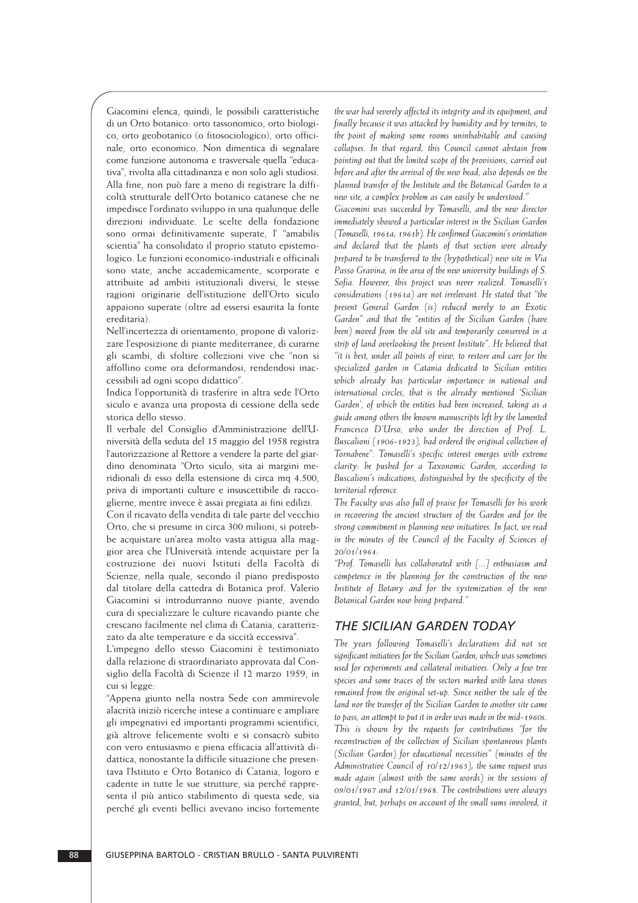Giacomini elenca, quindi, le possibili caratteristiche di un Orto botanico: orto tassonomico, orto biologico, orto geobotanico (o fitosociologico), orto officinale, orto economico. Non dimentica di segnalare come funzione autonoma e trasversale quella "educativa", rivolta alla cittadinanza e non solo agli studiosi. Alla fine, non può fare a meno di registrare la difficoltà strutturale dell'Orto botanico catanese che ne impedisce l'ordinato sviluppo in una qualunque delle direzioni individuate. Le scelte della fondazione sono ormai definitivamente superate, l' "amabilis scientia" ha consolidato il proprio statuto epistemologico. Le funzioni economico-industriali e officinali sono state, anche accademicamente, scorporate e attribuite ad ambiti istituzionali diversi, le stesse ragioni originarie dell'istituzione dell'Orto siculo appaiono superate (oltre ad essersi esaurita la fonte ereditaria).

Nell'incertezza di orientamento, propone di valorizzare l'esposizione di piante mediterranee, di curarne gli scambi, di sfoltire collezioni vive che "non si affollino come ora deformandosi, rendendosi inaccessibili ad ogni scopo didattico".

Indica l'opportunità di trasferire in altra sede l'Orto siculo e avanza una proposta di cessione della sede storica dello stesso.

Il verbale del Consiglio d'Amministrazione dell'Università della seduta del 15 maggio del 1958 registra l'autorizzazione al Rettore a vendere la parte del giardino denominata "Orto siculo, sita ai margini me ridionali di esso della estensione di circa mq 4.500, priva di importanti culture e insuscettibile di racco glierne, mentre invece è assai pregiata ai fini edilizi.

Con il ricavato della vendita di tale parte del vecchio Orto, che si presume in circa 300 milioni, si potrebbe acquistare un'area molto vasta attigua alla maggior area che l'Università intende acquistare per la costruzione dei nuovi Istituti della Facoltà di Scienze, nella quale, secondo il piano predisposto dal titolare della cattedra di Botanica prof. Valerio Giacomini si introdurranno nuove piante, avendo cura di specializzare le culture ricavando piante che crescano facilmente nel clima di Catania, caratterizzato da alte temperature e da siccità eccessiva".

L'impegno dello stesso Giacomini è testimoniato dalla relazione di straordinariato approvata dal Consiglio della Facoltà di Scienze il 12 marzo 1959, in cui si legge:

"Appena giunto nella nostra Sede con ammirevole alacrità iniziò ricerche intese a continuare e ampliare gli impegnativi ed importanti programmi scientifici, già altrove felicemente svolti e si consacrò subito con vero entusiasmo e piena efficacia all'attività di dattica, nonostante la difficile situazione che presentava l'Istituto e Orto Botanico di Catania, logoro e cadente in tutte le sue strutture, sia perché rappresenta il più antico stabilimento di questa sede, sia perché gli eventi bellici avevano inciso fortemente

*the war had severely affected its integrity and its equipment, and finally because it was attacked by humidity and by termites, to the point of making some rooms uninhabitable and causing collapses. In that regard, this Council cannot abstain from pointing out that the limited scope of the provisions, carried out before and after the arrival of the new head, also depends on the planned transfer of the Institute and the Botanical Garden to a new site, a complex problem as can easily be understood."*

*Giacomini was succeeded by Tomaselli, and the new director immediately showed a particular interest in the Sicilian Garden (Tomaselli, 1961a; 1961b). He confirmed Giacomini's orientation and declared that the plants of that section were already prepared to be transferred to the (hypothetical) new site in Via Passo Gravina, in the area of the new university buildings of S. Sofia. However, this project was never realized. Tomaselli's considerations (1961a) are not irrelevant. He stated that "the present General Garden (is) reduced merely to an Exotic Garden" and that the "entities of the Sicilian Garden (have been) moved from the old site and temporarily conserved in a strip of land overlooking the present Institute". He believed that "it is best, under all points of view, to restore and care for the specialized garden in Catania dedicated to Sicilian entities which already has particular importance in national and international circles, that is the already mentioned 'Sicilian Garden', of which the entities had been increased, taking as a guide among others the known manuscripts left by the lamented Francesco D'Urso, who under the direction of Prof. L. Buscalioni (1906-1923), had ordered the original collection of Tornabene". Tomaselli's specific interest emerges with extreme clarity: he pushed for a Taxonomic Garden, according to Buscalioni's indications, distinguished by the specificity of the territorial reference.*

*The Faculty was also full of praise for Tomaselli for his work in recovering the ancient structure of the Garden and for the strong commitment in planning new initiatives. In fact, we read in the minutes of the Council of the Faculty of Sciences of 20/01/1964:*

*"Prof. Tomaselli has collaborated with [...] enthusiasm and competence in the planning for the construction of the new Institute of Botany and for the systemization of the new Botanical Garden now being prepared."*

#### *THE SICILIAN GARDEN TODAY*

*The years following Tomaselli's declarations did not see significant initiatives for the Sicilian Garden, which was sometimes used for experiments and collateral initiatives. Only a few tree species and some traces of the sectors marked with lava stones remained from the original set-up. Since neither the sale of the land nor the transfer of the Sicilian Garden to another site came to pass, an attempt to put it in order was made in the mid-1960s. This is shown by the requests for contributions "for the reconstruction of the collection of Sicilian spontaneous plants (Sicilian Garden) for educational necessities" (minutes of the Administrative Council of 10/12/1965); the same request was made again (almost with the same words) in the sessions of 09/01/1967 and 12/01/1968. The contributions were always granted, but, perhaps on account of the small sums involved, it*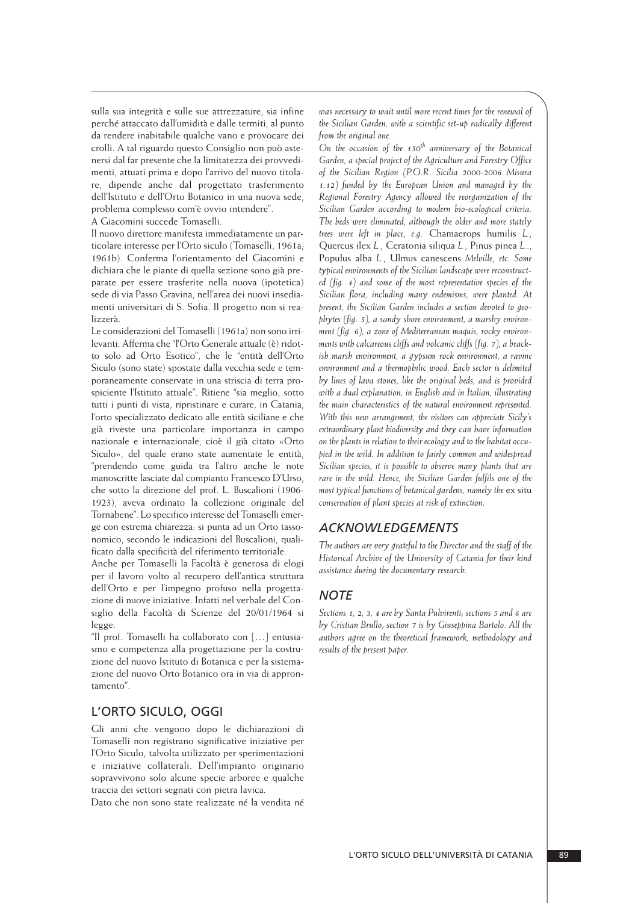sulla sua integrità e sulle sue attrezzature, sia infine perché attaccato dall'umidità e dalle termiti, al punto da rendere inabitabile qualche vano e provocare dei crolli. A tal riguardo questo Consiglio non può aste nersi dal far presente che la limitatezza dei provvedi menti, attuati prima e dopo l'arrivo del nuovo titolare, dipende anche dal progettato trasferimento dell'Istituto e dell'Orto Botanico in una nuova sede, problema complesso com'è ovvio intendere".

A Giacomini succede Tomaselli.

Il nuovo direttore manifesta immediatamente un particolare interesse per l'Orto siculo (Tomaselli, 1961a; 1961b). Conferma l'orientamento del Giacomini e dichiara che le piante di quella sezione sono già preparate per essere trasferite nella nuova (ipotetica) sede di via Passo Gravina, nell'area dei nuovi insedia menti universitari di S. Sofia. Il progetto non si rea lizzerà.

Le considerazioni del Tomaselli (1961a) non sono irrilevanti. Afferma che "l'Orto Generale attuale (è) ridotto solo ad Orto Esotico", che le "entità dell'Orto Siculo (sono state) spostate dalla vecchia sede e temporaneamente conservate in una striscia di terra prospiciente l'Istituto attuale". Ritiene "sia meglio, sotto tutti i punti di vista, ripristinare e curare, in Catania, l'orto specializzato dedicato alle entità siciliane e che già riveste una particolare importanza in campo nazionale e internazionale, cioè il già citato «Orto Siculo», del quale erano state aumentate le entità, "prendendo come guida tra l'altro anche le note manoscritte lasciate dal compianto Francesco D'Urso, che sotto la direzione del prof. L. Buscalioni (1906- 1923), aveva ordinato la collezione originale del Tornabene"*.* Lo specifico interesse del Tomaselli emerge con estrema chiarezza: si punta ad un Orto tassonomico, secondo le indicazioni del Buscalioni, qualificato dalla specificità del riferimento territoriale.

Anche per Tomaselli la Facoltà è generosa di elogi per il lavoro volto al recupero dell'antica struttura dell'Orto e per l'impegno profuso nella progettazione di nuove iniziative. Infatti nel verbale del Con siglio della Facoltà di Scienze del 20/01/1964 si legge:

"Il prof. Tomaselli ha collaborato con […] entusiasmo e competenza alla progettazione per la costruzione del nuovo Istituto di Botanica e per la sistemazione del nuovo Orto Botanico ora in via di approntamento".

### L'ORTO SICULO, OGGI

Gli anni che vengono dopo le dichiarazioni di Tomaselli non registrano significative iniziative per l'Orto Siculo, talvolta utilizzato per sperimentazioni e iniziative collaterali. Dell'impianto originario sopravvivono solo alcune specie arboree e qualche traccia dei settori segnati con pietra lavica.

Dato che non sono state realizzate né la vendita né

*was necessary to wait until more recent times for the renewal of the Sicilian Garden, with a scientific set-up radically different from the original one.*

*On the occasion of the 150th anniversary of the Botanical Garden, a special project of the Agriculture and Forestry Office of the Sicilian Region (P.O.R. Sicilia 2000-2006 Misura 1.12) funded by the European Union and managed by the Regional Forestry Agency allowed the reorganization of the Sicilian Garden according to modern bio-ecological criteria. The beds were eliminated, although the older and more stately trees were left in place, e.g.* Chamaerops humilis *L.*, Quercus ilex *L.*, Ceratonia siliqua *L.*, Pinus pinea *L.*., Populus alba *L.*, Ulmus canescens *Melville*, *etc. Some typical environments of the Sicilian landscape were reconstructed (fig. 4) and some of the most representative species of the Sicilian flora, including many endemisms, were planted. At present, the Sicilian Garden includes a section devoted to geophytes (fig. 5), a sandy shore environment, a marshy environment (fig. 6), a zone of Mediterranean maquis, rocky environments with calcareous cliffs and volcanic cliffs (fig. 7), a brackish marsh environment, a gypsum rock environment, a ravine environment and a thermophilic wood. Each sector is delimited by lines of lava stones, like the original beds, and is provided with a dual explanation, in English and in Italian, illustrating the main characteristics of the natural environment represented. With this new arrangement, the visitors can appreciate Sicily's extraordinary plant biodiversity and they can have information on the plants in relation to their ecology and to the habitat occupied in the wild. In addition to fairly common and widespread Sicilian species, it is possible to observe many plants that are rare in the wild. Hence, the Sicilian Garden fulfils one of the most typical functions of botanical gardens, namely the* ex situ *conservation of plant species at risk of extinction.*

#### *ACKNOWLEDGEMENTS*

*The authors are very grateful to the Director and the staff of the Historical Archive of the University of Catania for their kind assistance during the documentary research.*

#### *NOTE*

*Sections 1, 2, 3, 4 are by Santa Pulvirenti; sections 5 and 6 are by Cristian Brullo; section 7 is by Giuseppina Bartolo. All the authors agree on the theoretical framework, methodology and results of the present paper.*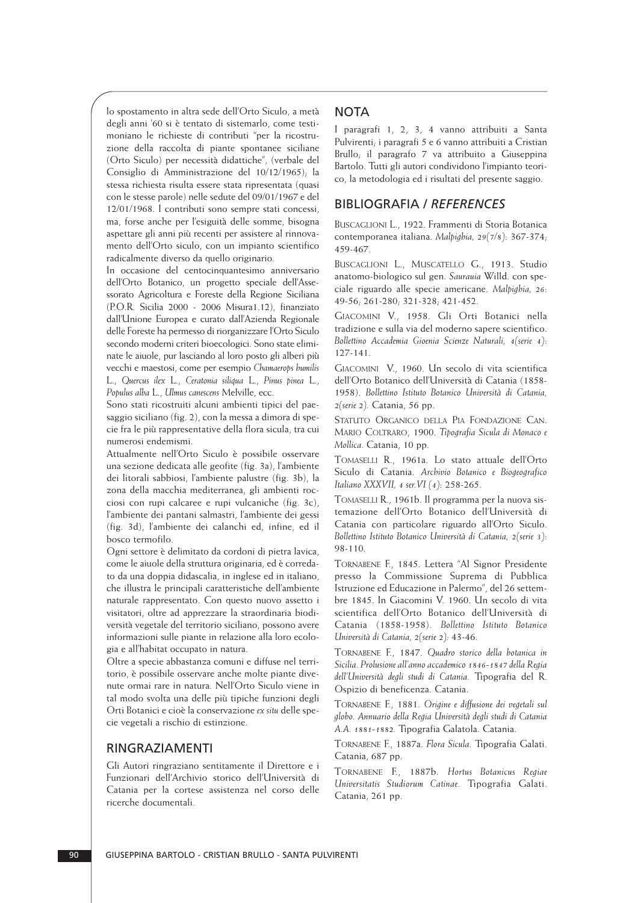lo spostamento in altra sede dell'Orto Siculo, a metà degli anni '60 si è tentato di sistemarlo, come testimoniano le richieste di contributi "per la ricostruzione della raccolta di piante spontanee siciliane (Orto Siculo) per necessità didattiche", (verbale del Consiglio di Amministrazione del 10/12/1965); la stessa richiesta risulta essere stata ripresentata (quasi con le stesse parole) nelle sedute del 09/01/1967 e del 12/01/1968. I contributi sono sempre stati concessi, ma, forse anche per l'esiguità delle somme, bisogna aspettare gli anni più recenti per assistere al rinnovamento dell'Orto siculo, con un impianto scientifico radicalmente diverso da quello originario.

In occasione del centocinquantesimo anniversario dell'Orto Botanico, un progetto speciale dell'Assessorato Agricoltura e Foreste della Regione Siciliana (P.O.R. Sicilia 2000 - 2006 Misura1.12), finanziato dall'Unione Europea e curato dall'Azienda Regionale delle Foreste ha permesso di riorganizzare l'Orto Siculo secondo moderni criteri bioecologici. Sono state eliminate le aiuole, pur lasciando al loro posto gli alberi più vecchi e maestosi, come per esempio *Chamaerops humilis* L., *Quercus ilex* L., *Ceratonia siliqua* L., *Pinus pinea* L., *Populus alba* L., *Ulmus canescens* Melville, ecc.

Sono stati ricostruiti alcuni ambienti tipici del paesaggio siciliano (fig. 2), con la messa a dimora di specie fra le più rappresentative della flora sicula, tra cui numerosi endemismi.

Attualmente nell'Orto Siculo è possibile osservare una sezione dedicata alle geofite (fig. 3a), l'ambiente dei litorali sabbiosi, l'ambiente palustre (fig. 3b), la zona della macchia mediterranea, gli ambienti rocciosi con rupi calcaree e rupi vulcaniche (fig. 3c), l'ambiente dei pantani salmastri, l'ambiente dei gessi (fig. 3d), l'ambiente dei calanchi ed, infine, ed il bosco termofilo.

Ogni settore è delimitato da cordoni di pietra lavica, come le aiuole della struttura originaria, ed è corredato da una doppia didascalia, in inglese ed in italiano, che illustra le principali caratteristiche dell'ambiente naturale rappresentato. Con questo nuovo assetto i visitatori, oltre ad apprezzare la straordinaria biodiversità vegetale del territorio siciliano, possono avere informazioni sulle piante in relazione alla loro ecologia e all'habitat occupato in natura.

Oltre a specie abbastanza comuni e diffuse nel territorio, è possibile osservare anche molte piante divenute ormai rare in natura. Nell'Orto Siculo viene in tal modo svolta una delle più tipiche funzioni degli Orti Botanici e cioè la conservazione *ex situ* delle specie vegetali a rischio di estinzione.

#### RINGRAZIAMENTI

Gli Autori ringraziano sentitamente il Direttore e i Funzionari dell'Archivio storico dell'Università di Catania per la cortese assistenza nel corso delle ricerche documentali.

#### **NOTA**

I paragrafi 1, 2, 3, 4 vanno attribuiti a Santa Pulvirenti; i paragrafi 5 e 6 vanno attribuiti a Cristian Brullo; il paragrafo 7 va attribuito a Giuseppina Bartolo. Tutti gli autori condividono l'impianto teorico, la metodologia ed i risultati del presente saggio.

### BIBLIOGRAFIA / *REFERENCES*

BUSCAGLIONI L., 1922. Frammenti di Storia Botanica contemporanea italiana. *Malpighia, 29(7/8)*: 367-374; 459-467.

BUSCAGLIONI L., MUSCATELLO G., 1913. Studio anatomo-biologico sul gen. *Saurauia* Willd. con speciale riguardo alle specie americane. *Malpighia, 26*: 49-56; 261-280; 321-328; 421-452.

GIACOMINI V., 1958. Gli Orti Botanici nella tradizione e sulla via del moderno sapere scientifico. *Bollettino Accademia Gioenia Scienze Naturali, 4(serie 4)*: 127-141.

GIACOMINI V., 1960. Un secolo di vita scientifica dell'Orto Botanico dell'Università di Catania (1858- 1958). *Bollettino Istituto Botanico Università di Catania, 2(serie 2).* Catania, 56 pp.

STATUTO ORGANICO DELLA PIA FONDAZIONE CAN. MARIO COLTRARO, 1900. *Tipografia Sicula di Monaco e Mollica.* Catania, 10 pp.

TOMASELLI R., 1961a. Lo stato attuale dell'Orto Siculo di Catania. *Archivio Botanico e Biogeografico Italiano XXXVII, 4 ser.VI (4)*: 258-265.

TOMASELLI R., 1961b. Il programma per la nuova sistemazione dell'Orto Botanico dell'Università di Catania con particolare riguardo all'Orto Siculo. *Bollettino Istituto Botanico Università di Catania, 2(serie 3)*: 98-110.

TORNABENE F., 1845. Lettera "Al Signor Presidente presso la Commissione Suprema di Pubblica Istruzione ed Educazione in Palermo", del 26 settembre 1845. In Giacomini V. 1960. Un secolo di vita scientifica dell'Orto Botanico dell'Università di Catania (1858-1958). *Bollettino Istituto Botanico Università di Catania, 2(serie 2):* 43-46.

TORNABENE F., 1847. *Quadro storico della botanica in Sicilia. Prolusione all'anno accademico 1846-1847 della Regia dell'Università degli studi di Catania.* Tipografia del R. Ospizio di beneficenza. Catania.

TORNABENE F., 1881. *Origine e diffusione dei vegetali sul globo. Annuario della Regia Università degli studi di Catania A.A. 1881-1882.* Tipografia Galatola. Catania.

TORNABENE F., 1887a. *Flora Sicula.* Tipografia Galati. Catania, 687 pp.

TORNABENE F., 1887b. *Hortus Botanicus Regiae Universitatis Studiorum Catinae.* Tipografia Galati. Catania, 261 pp.